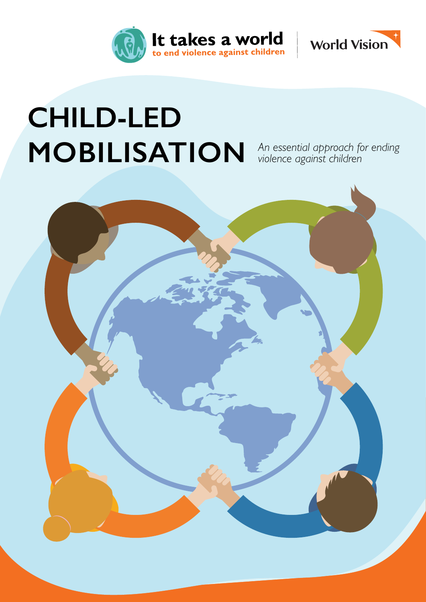



# **CHILD-LED MOBILISATION**

*An essential approach for ending violence against children*

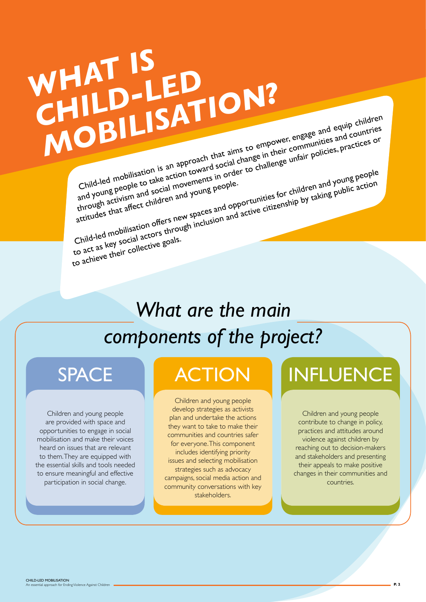# *WHAT IS* **CHILD-LED**<br>CHILD-LED *MOBILISATION?* Child-led mobilisation is an approach that aims to empower, engage and equip children Littled mobilisation is an approach that aims to empower, engage and equip children countries<br>Littled mobilisation is an approach that aims to empower, engage and equip countries<br>and young people to take action toward is e and young people to take action toward social change in their communities and countries<br>through activism and social movements in order to challenge unfair policies, practices or<br>through activism and social movements in ord

Child-lea the colle to take and young people.<br>and young hactivism and social movements people.<br>through activism affect children and young paces and opp<br>attitudes that affect children spaces and opp

Child-led mobilisation of the action toward in order to the children and young people<br>and young people to take action movements in order to the children and young people<br>artitudes that affect children and young people.<br>att to act as key social actors through inclusion and active citizenship by taking public action<br>to act as key social actors through inclusion and active citizenship by taking public action

to achieve their collective goals.

# *What are the main components of the project?*

Children and young people are provided with space and opportunities to engage in social mobilisation and make their voices heard on issues that are relevant to them. They are equipped with the essential skills and tools needed to ensure meaningful and effective participation in social change.

Children and young people develop strategies as activists plan and undertake the actions they want to take to make their communities and countries safer for everyone. This component includes identifying priority issues and selecting mobilisation strategies such as advocacy campaigns, social media action and community conversations with key stakeholders.

# SPACE **ACTION** INFLUENCE

Children and young people contribute to change in policy, practices and attitudes around violence against children by reaching out to decision-makers and stakeholders and presenting their appeals to make positive changes in their communities and countries.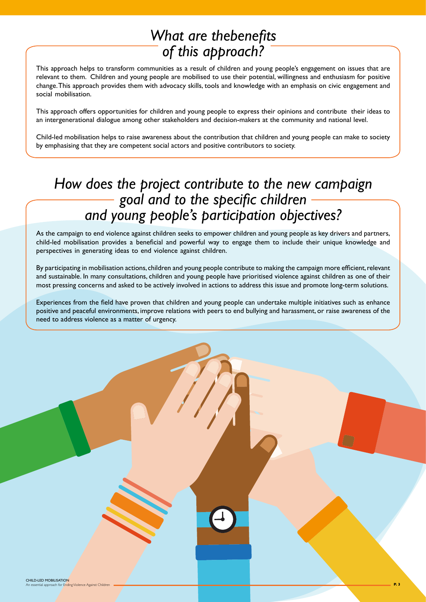## *What are thebenefits of this approach?*

This approach helps to transform communities as a result of children and young people's engagement on issues that are relevant to them. Children and young people are mobilised to use their potential, willingness and enthusiasm for positive change. This approach provides them with advocacy skills, tools and knowledge with an emphasis on civic engagement and social mobilisation.

This approach offers opportunities for children and young people to express their opinions and contribute their ideas to an intergenerational dialogue among other stakeholders and decision-makers at the community and national level.

Child-led mobilisation helps to raise awareness about the contribution that children and young people can make to society by emphasising that they are competent social actors and positive contributors to society.

### *How does the project contribute to the new campaign goal and to the specific children and young people's participation objectives?*

As the campaign to end violence against children seeks to empower children and young people as key drivers and partners, child-led mobilisation provides a beneficial and powerful way to engage them to include their unique knowledge and perspectives in generating ideas to end violence against children.

By participating in mobilisation actions, children and young people contribute to making the campaign more efficient, relevant and sustainable. In many consultations, children and young people have prioritised violence against children as one of their most pressing concerns and asked to be actively involved in actions to address this issue and promote long-term solutions.

Experiences from the field have proven that children and young people can undertake multiple initiatives such as enhance positive and peaceful environments, improve relations with peers to end bullying and harassment, or raise awareness of the need to address violence as a matter of urgency.